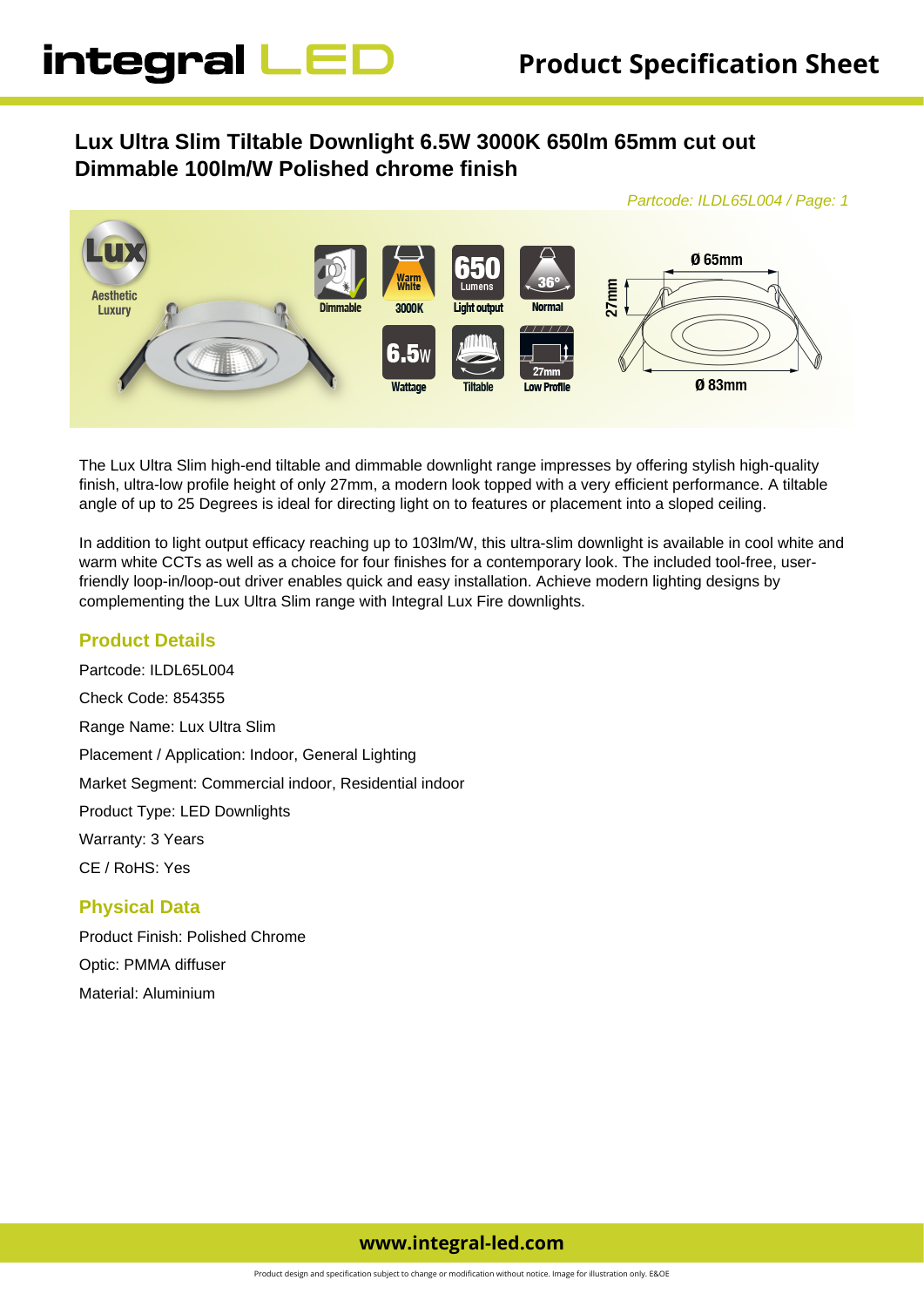# **Lux Ultra Slim Tiltable Downlight 6.5W 3000K 650lm 65mm cut out Dimmable 100lm/W Polished chrome finish**



The Lux Ultra Slim high-end tiltable and dimmable downlight range impresses by offering stylish high-quality finish, ultra-low profile height of only 27mm, a modern look topped with a very efficient performance. A tiltable angle of up to 25 Degrees is ideal for directing light on to features or placement into a sloped ceiling.

In addition to light output efficacy reaching up to 103lm/W, this ultra-slim downlight is available in cool white and warm white CCTs as well as a choice for four finishes for a contemporary look. The included tool-free, userfriendly loop-in/loop-out driver enables quick and easy installation. Achieve modern lighting designs by complementing the Lux Ultra Slim range with Integral Lux Fire downlights.

# **Product Details**

Partcode: ILDL65L004 Check Code: 854355 Range Name: Lux Ultra Slim Placement / Application: Indoor, General Lighting Market Segment: Commercial indoor, Residential indoor Product Type: LED Downlights Warranty: 3 Years CE / RoHS: Yes

### **Physical Data**

Product Finish: Polished Chrome Optic: PMMA diffuser Material: Aluminium

# **www.integral-led.com**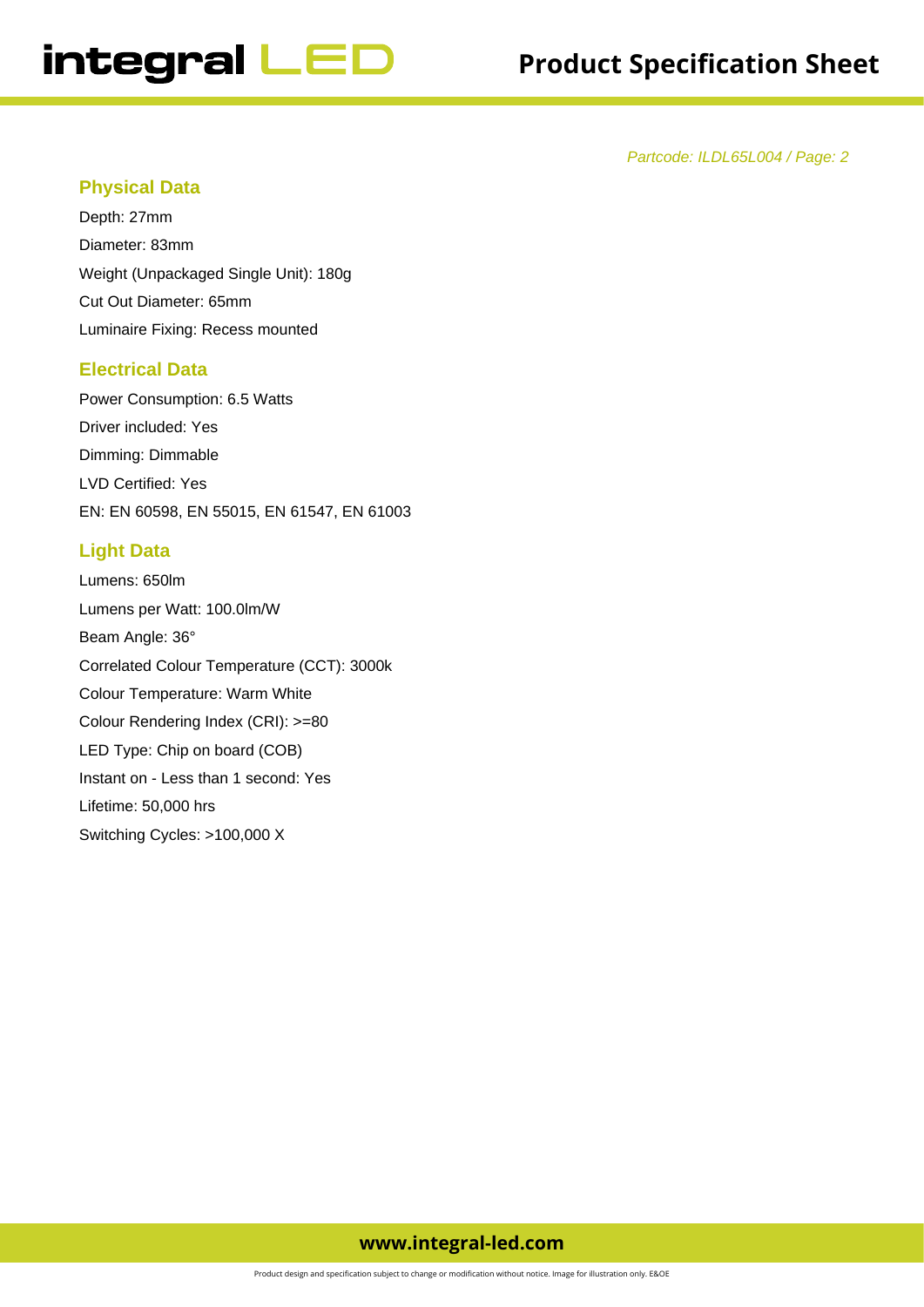Partcode: ILDL65L004 / Page: 2

### **Physical Data**

Depth: 27mm Diameter: 83mm Weight (Unpackaged Single Unit): 180g Cut Out Diameter: 65mm Luminaire Fixing: Recess mounted

#### **Electrical Data**

Power Consumption: 6.5 Watts Driver included: Yes Dimming: Dimmable LVD Certified: Yes EN: EN 60598, EN 55015, EN 61547, EN 61003

# **Light Data**

Lumens: 650lm Lumens per Watt: 100.0lm/W Beam Angle: 36° Correlated Colour Temperature (CCT): 3000k Colour Temperature: Warm White Colour Rendering Index (CRI): >=80 LED Type: Chip on board (COB) Instant on - Less than 1 second: Yes Lifetime: 50,000 hrs Switching Cycles: >100,000 X

# **www.integral-led.com**